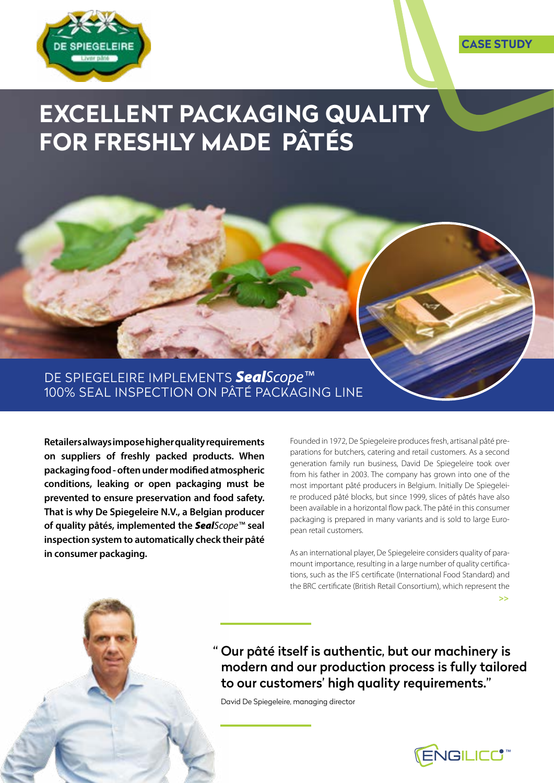

## **EXCELLENT PACKAGING QUALITY FOR FRESHLY MADE PÂTÉS**

DE SPIEGELEIRE IMPLEMENTS *SealScope™* 100% SEAL INSPECTION ON PÂTÉ PACKAGING LINE

**Retailers always impose higher quality requirements on suppliers of freshly packed products. When packaging food - often under modified atmospheric conditions, leaking or open packaging must be prevented to ensure preservation and food safety. That is why De Spiegeleire N.V., a Belgian producer of quality pâtés, implemented the** *SealScope™* **seal inspection system to automatically check their pâté in consumer packaging.** 

Founded in 1972, De Spiegeleire produces fresh, artisanal pâté preparations for butchers, catering and retail customers. As a second generation family run business, David De Spiegeleire took over from his father in 2003. The company has grown into one of the most important pâté producers in Belgium. Initially De Spiegeleire produced pâté blocks, but since 1999, slices of pâtés have also been available in a horizontal flow pack. The pâté in this consumer packaging is prepared in many variants and is sold to large European retail customers.

As an international player, De Spiegeleire considers quality of paramount importance, resulting in a large number of quality certifications, such as the IFS certificate (International Food Standard) and the BRC certificate (British Retail Consortium), which represent the **>>**

" Our pâté itself is authentic, but our machinery is modern and our production process is fully tailored to our customers' high quality requirements."

David De Spiegeleire, managing director



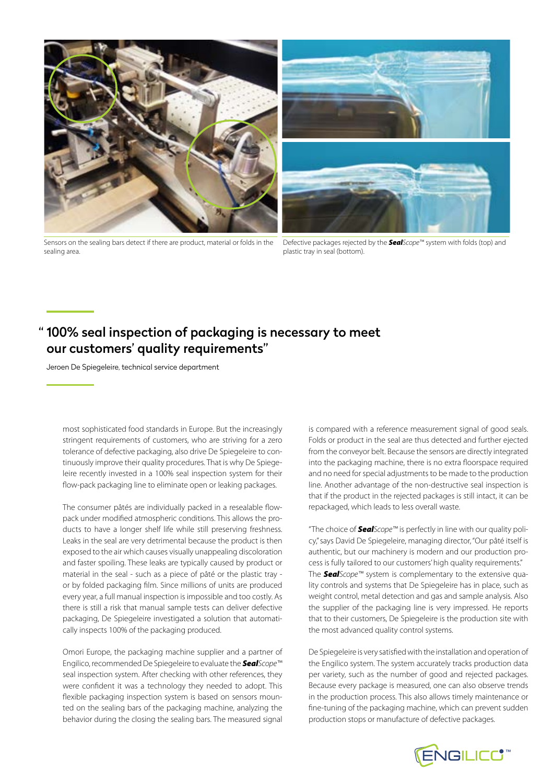

Sensors on the sealing bars detect if there are product, material or folds in the sealing area.



Defective packages rejected by the *SealScope™* system with folds (top) and plastic tray in seal (bottom).

## " 100% seal inspection of packaging is necessary to meet our customers' quality requirements"

Jeroen De Spiegeleire, technical service department

most sophisticated food standards in Europe. But the increasingly stringent requirements of customers, who are striving for a zero tolerance of defective packaging, also drive De Spiegeleire to continuously improve their quality procedures. That is why De Spiegeleire recently invested in a 100% seal inspection system for their flow-pack packaging line to eliminate open or leaking packages.

The consumer pâtés are individually packed in a resealable flowpack under modified atmospheric conditions. This allows the products to have a longer shelf life while still preserving freshness. Leaks in the seal are very detrimental because the product is then exposed to the air which causes visually unappealing discoloration and faster spoiling. These leaks are typically caused by product or material in the seal - such as a piece of pâté or the plastic tray or by folded packaging film. Since millions of units are produced every year, a full manual inspection is impossible and too costly. As there is still a risk that manual sample tests can deliver defective packaging, De Spiegeleire investigated a solution that automatically inspects 100% of the packaging produced.

Omori Europe, the packaging machine supplier and a partner of Engilico, recommended De Spiegeleire to evaluate the *SealScope™* seal inspection system. After checking with other references, they were confident it was a technology they needed to adopt. This flexible packaging inspection system is based on sensors mounted on the sealing bars of the packaging machine, analyzing the behavior during the closing the sealing bars. The measured signal

is compared with a reference measurement signal of good seals. Folds or product in the seal are thus detected and further ejected from the conveyor belt. Because the sensors are directly integrated into the packaging machine, there is no extra floorspace required and no need for special adjustments to be made to the production line. Another advantage of the non-destructive seal inspection is that if the product in the rejected packages is still intact, it can be repackaged, which leads to less overall waste.

"The choice of *SealScope™* is perfectly in line with our quality policy," says David De Spiegeleire, managing director, "Our pâté itself is authentic, but our machinery is modern and our production process is fully tailored to our customers' high quality requirements." The *SealScope™* system is complementary to the extensive quality controls and systems that De Spiegeleire has in place, such as weight control, metal detection and gas and sample analysis. Also the supplier of the packaging line is very impressed. He reports that to their customers, De Spiegeleire is the production site with the most advanced quality control systems.

De Spiegeleire is very satisfied with the installation and operation of the Engilico system. The system accurately tracks production data per variety, such as the number of good and rejected packages. Because every package is measured, one can also observe trends in the production process. This also allows timely maintenance or fine-tuning of the packaging machine, which can prevent sudden production stops or manufacture of defective packages.